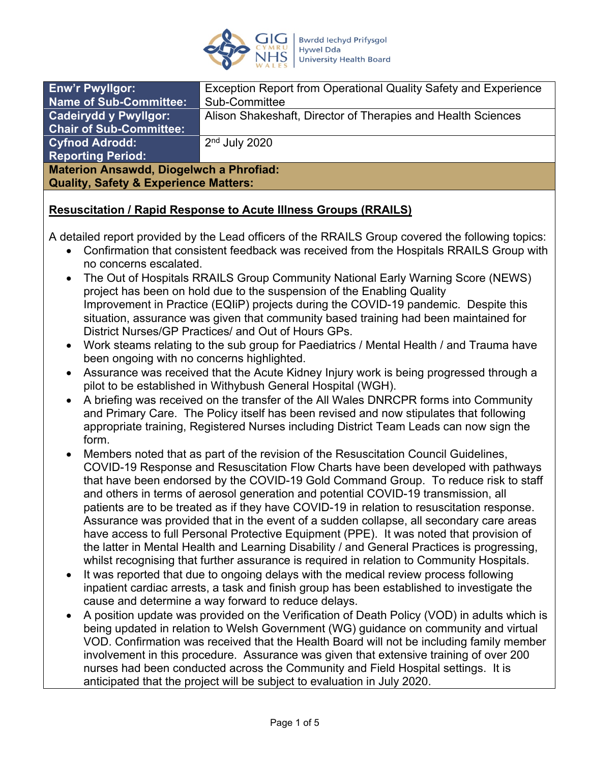

| <b>Enw'r Pwyllgor:</b>                           | Exception Report from Operational Quality Safety and Experience |
|--------------------------------------------------|-----------------------------------------------------------------|
| <b>Name of Sub-Committee:</b>                    | Sub-Committee                                                   |
| <b>Cadeirydd y Pwyllgor:</b>                     | Alison Shakeshaft, Director of Therapies and Health Sciences    |
| <b>Chair of Sub-Committee:</b>                   |                                                                 |
| <b>Cyfnod Adrodd:</b>                            | $2nd$ July 2020                                                 |
| <b>Reporting Period:</b>                         |                                                                 |
| <b>Materion Ansawdd, Diogelwch a Phrofiad:</b>   |                                                                 |
| <b>Quality, Safety &amp; Experience Matters:</b> |                                                                 |

## **Resuscitation / Rapid Response to Acute Illness Groups (RRAILS)**

A detailed report provided by the Lead officers of the RRAILS Group covered the following topics:

- Confirmation that consistent feedback was received from the Hospitals RRAILS Group with no concerns escalated.
- The Out of Hospitals RRAILS Group Community National Early Warning Score (NEWS) project has been on hold due to the suspension of the Enabling Quality Improvement in Practice (EQIiP) projects during the COVID-19 pandemic. Despite this situation, assurance was given that community based training had been maintained for District Nurses/GP Practices/ and Out of Hours GPs.
- Work steams relating to the sub group for Paediatrics / Mental Health / and Trauma have been ongoing with no concerns highlighted.
- Assurance was received that the Acute Kidney Injury work is being progressed through a pilot to be established in Withybush General Hospital (WGH).
- A briefing was received on the transfer of the All Wales DNRCPR forms into Community and Primary Care. The Policy itself has been revised and now stipulates that following appropriate training, Registered Nurses including District Team Leads can now sign the form.
- Members noted that as part of the revision of the Resuscitation Council Guidelines, COVID-19 Response and Resuscitation Flow Charts have been developed with pathways that have been endorsed by the COVID-19 Gold Command Group. To reduce risk to staff and others in terms of aerosol generation and potential COVID-19 transmission, all patients are to be treated as if they have COVID-19 in relation to resuscitation response. Assurance was provided that in the event of a sudden collapse, all secondary care areas have access to full Personal Protective Equipment (PPE). It was noted that provision of the latter in Mental Health and Learning Disability / and General Practices is progressing, whilst recognising that further assurance is required in relation to Community Hospitals.
- It was reported that due to ongoing delays with the medical review process following inpatient cardiac arrests, a task and finish group has been established to investigate the cause and determine a way forward to reduce delays.
- A position update was provided on the Verification of Death Policy (VOD) in adults which is being updated in relation to Welsh Government (WG) guidance on community and virtual VOD. Confirmation was received that the Health Board will not be including family member involvement in this procedure. Assurance was given that extensive training of over 200 nurses had been conducted across the Community and Field Hospital settings. It is anticipated that the project will be subject to evaluation in July 2020.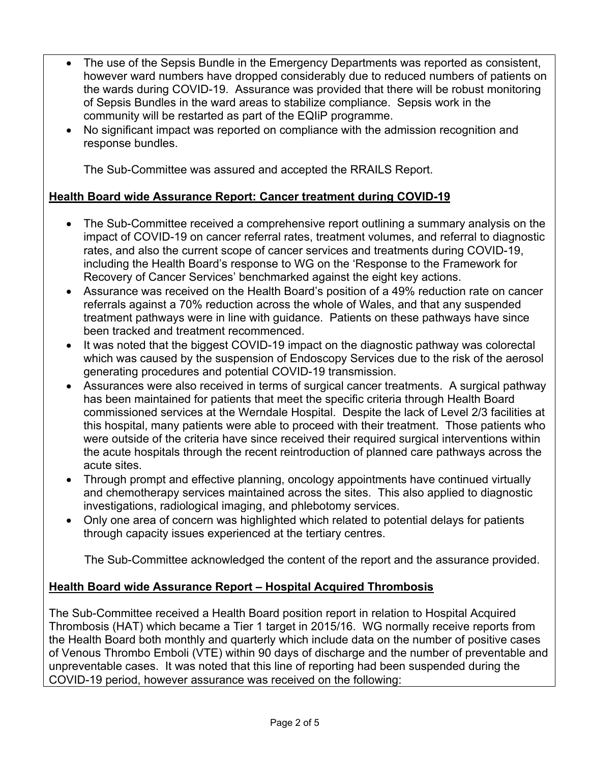- The use of the Sepsis Bundle in the Emergency Departments was reported as consistent, however ward numbers have dropped considerably due to reduced numbers of patients on the wards during COVID-19. Assurance was provided that there will be robust monitoring of Sepsis Bundles in the ward areas to stabilize compliance. Sepsis work in the community will be restarted as part of the EQIiP programme.
- No significant impact was reported on compliance with the admission recognition and response bundles.

The Sub-Committee was assured and accepted the RRAILS Report.

# **Health Board wide Assurance Report: Cancer treatment during COVID-19**

- The Sub-Committee received a comprehensive report outlining a summary analysis on the impact of COVID-19 on cancer referral rates, treatment volumes, and referral to diagnostic rates, and also the current scope of cancer services and treatments during COVID-19, including the Health Board's response to WG on the 'Response to the Framework for Recovery of Cancer Services' benchmarked against the eight key actions.
- Assurance was received on the Health Board's position of a 49% reduction rate on cancer referrals against a 70% reduction across the whole of Wales, and that any suspended treatment pathways were in line with guidance. Patients on these pathways have since been tracked and treatment recommenced.
- It was noted that the biggest COVID-19 impact on the diagnostic pathway was colorectal which was caused by the suspension of Endoscopy Services due to the risk of the aerosol generating procedures and potential COVID-19 transmission.
- Assurances were also received in terms of surgical cancer treatments. A surgical pathway has been maintained for patients that meet the specific criteria through Health Board commissioned services at the Werndale Hospital. Despite the lack of Level 2/3 facilities at this hospital, many patients were able to proceed with their treatment. Those patients who were outside of the criteria have since received their required surgical interventions within the acute hospitals through the recent reintroduction of planned care pathways across the acute sites.
- Through prompt and effective planning, oncology appointments have continued virtually and chemotherapy services maintained across the sites. This also applied to diagnostic investigations, radiological imaging, and phlebotomy services.
- Only one area of concern was highlighted which related to potential delays for patients through capacity issues experienced at the tertiary centres.

The Sub-Committee acknowledged the content of the report and the assurance provided.

# **Health Board wide Assurance Report – Hospital Acquired Thrombosis**

The Sub-Committee received a Health Board position report in relation to Hospital Acquired Thrombosis (HAT) which became a Tier 1 target in 2015/16. WG normally receive reports from the Health Board both monthly and quarterly which include data on the number of positive cases of Venous Thrombo Emboli (VTE) within 90 days of discharge and the number of preventable and unpreventable cases. It was noted that this line of reporting had been suspended during the COVID-19 period, however assurance was received on the following: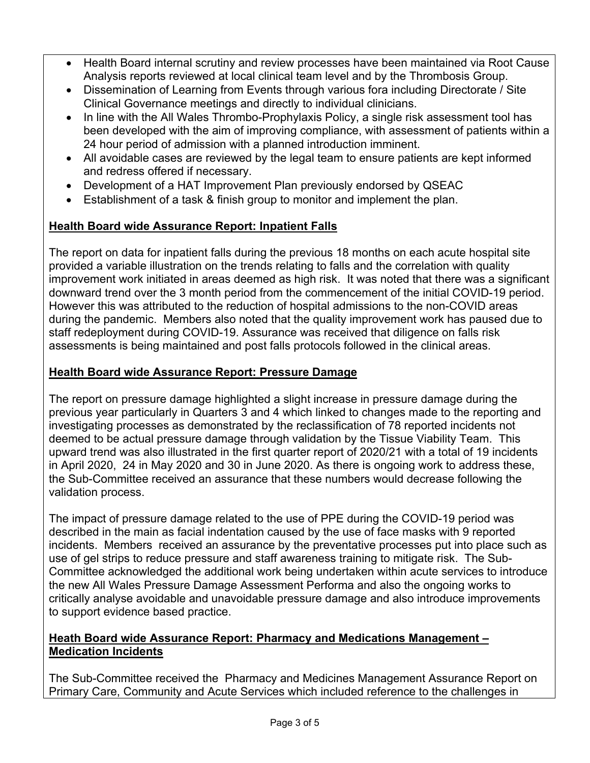- Health Board internal scrutiny and review processes have been maintained via Root Cause Analysis reports reviewed at local clinical team level and by the Thrombosis Group.
- Dissemination of Learning from Events through various fora including Directorate / Site Clinical Governance meetings and directly to individual clinicians.
- In line with the All Wales Thrombo-Prophylaxis Policy, a single risk assessment tool has been developed with the aim of improving compliance, with assessment of patients within a 24 hour period of admission with a planned introduction imminent.
- All avoidable cases are reviewed by the legal team to ensure patients are kept informed and redress offered if necessary.
- Development of a HAT Improvement Plan previously endorsed by QSEAC
- Establishment of a task & finish group to monitor and implement the plan.

# **Health Board wide Assurance Report: Inpatient Falls**

The report on data for inpatient falls during the previous 18 months on each acute hospital site provided a variable illustration on the trends relating to falls and the correlation with quality improvement work initiated in areas deemed as high risk. It was noted that there was a significant downward trend over the 3 month period from the commencement of the initial COVID-19 period. However this was attributed to the reduction of hospital admissions to the non-COVID areas during the pandemic. Members also noted that the quality improvement work has paused due to staff redeployment during COVID-19. Assurance was received that diligence on falls risk assessments is being maintained and post falls protocols followed in the clinical areas.

# **Health Board wide Assurance Report: Pressure Damage**

The report on pressure damage highlighted a slight increase in pressure damage during the previous year particularly in Quarters 3 and 4 which linked to changes made to the reporting and investigating processes as demonstrated by the reclassification of 78 reported incidents not deemed to be actual pressure damage through validation by the Tissue Viability Team. This upward trend was also illustrated in the first quarter report of 2020/21 with a total of 19 incidents in April 2020, 24 in May 2020 and 30 in June 2020. As there is ongoing work to address these, the Sub-Committee received an assurance that these numbers would decrease following the validation process.

The impact of pressure damage related to the use of PPE during the COVID-19 period was described in the main as facial indentation caused by the use of face masks with 9 reported incidents. Members received an assurance by the preventative processes put into place such as use of gel strips to reduce pressure and staff awareness training to mitigate risk. The Sub-Committee acknowledged the additional work being undertaken within acute services to introduce the new All Wales Pressure Damage Assessment Performa and also the ongoing works to critically analyse avoidable and unavoidable pressure damage and also introduce improvements to support evidence based practice.

## **Heath Board wide Assurance Report: Pharmacy and Medications Management – Medication Incidents**

The Sub-Committee received the Pharmacy and Medicines Management Assurance Report on Primary Care, Community and Acute Services which included reference to the challenges in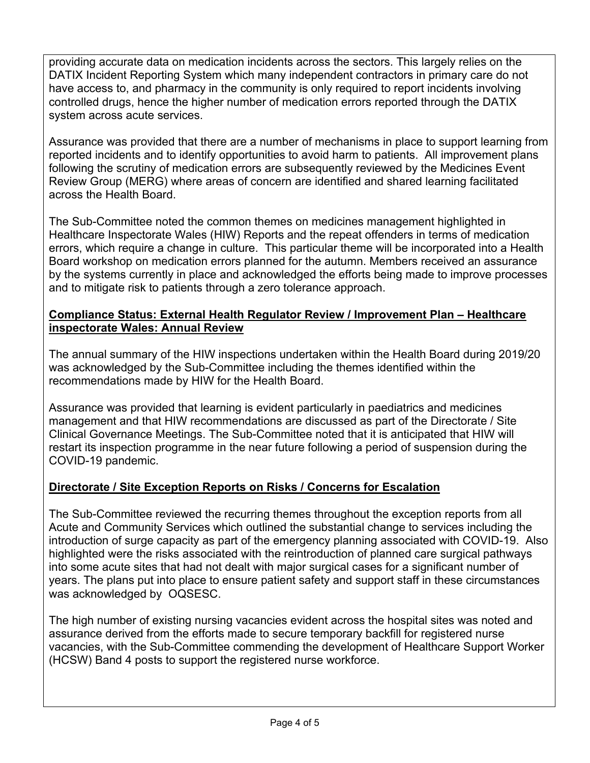providing accurate data on medication incidents across the sectors. This largely relies on the DATIX Incident Reporting System which many independent contractors in primary care do not have access to, and pharmacy in the community is only required to report incidents involving controlled drugs, hence the higher number of medication errors reported through the DATIX system across acute services.

Assurance was provided that there are a number of mechanisms in place to support learning from reported incidents and to identify opportunities to avoid harm to patients. All improvement plans following the scrutiny of medication errors are subsequently reviewed by the Medicines Event Review Group (MERG) where areas of concern are identified and shared learning facilitated across the Health Board.

The Sub-Committee noted the common themes on medicines management highlighted in Healthcare Inspectorate Wales (HIW) Reports and the repeat offenders in terms of medication errors, which require a change in culture. This particular theme will be incorporated into a Health Board workshop on medication errors planned for the autumn. Members received an assurance by the systems currently in place and acknowledged the efforts being made to improve processes and to mitigate risk to patients through a zero tolerance approach.

## **Compliance Status: External Health Regulator Review / Improvement Plan – Healthcare inspectorate Wales: Annual Review**

The annual summary of the HIW inspections undertaken within the Health Board during 2019/20 was acknowledged by the Sub-Committee including the themes identified within the recommendations made by HIW for the Health Board.

Assurance was provided that learning is evident particularly in paediatrics and medicines management and that HIW recommendations are discussed as part of the Directorate / Site Clinical Governance Meetings. The Sub-Committee noted that it is anticipated that HIW will restart its inspection programme in the near future following a period of suspension during the COVID-19 pandemic.

# **Directorate / Site Exception Reports on Risks / Concerns for Escalation**

The Sub-Committee reviewed the recurring themes throughout the exception reports from all Acute and Community Services which outlined the substantial change to services including the introduction of surge capacity as part of the emergency planning associated with COVID-19. Also highlighted were the risks associated with the reintroduction of planned care surgical pathways into some acute sites that had not dealt with major surgical cases for a significant number of years. The plans put into place to ensure patient safety and support staff in these circumstances was acknowledged by OQSESC.

The high number of existing nursing vacancies evident across the hospital sites was noted and assurance derived from the efforts made to secure temporary backfill for registered nurse vacancies, with the Sub-Committee commending the development of Healthcare Support Worker (HCSW) Band 4 posts to support the registered nurse workforce.